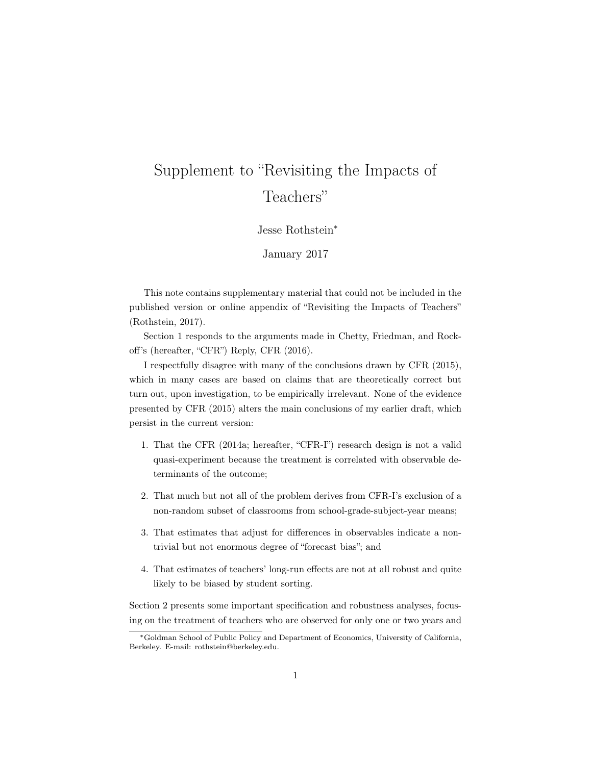# Supplement to "Revisiting the Impacts of Teachers"

Jesse Rothstein<sup>\*</sup>

January 2017

This note contains supplementary material that could not be included in the published version or online appendix of "Revisiting the Impacts of Teachers" (Rothstein, 2017).

Section 1 responds to the arguments made in Chetty, Friedman, and Rockoff's (hereafter, "CFR") Reply, CFR (2016).

I respectfully disagree with many of the conclusions drawn by CFR (2015), which in many cases are based on claims that are theoretically correct but turn out, upon investigation, to be empirically irrelevant. None of the evidence presented by CFR (2015) alters the main conclusions of my earlier draft, which persist in the current version:

- 1. That the CFR (2014a; hereafter, "CFR-I") research design is not a valid quasi-experiment because the treatment is correlated with observable determinants of the outcome;
- 2. That much but not all of the problem derives from CFR-I's exclusion of a non-random subset of classrooms from school-grade-subject-year means;
- 3. That estimates that adjust for differences in observables indicate a nontrivial but not enormous degree of "forecast bias"; and
- 4. That estimates of teachers' long-run effects are not at all robust and quite likely to be biased by student sorting.

Section 2 presents some important specification and robustness analyses, focusing on the treatment of teachers who are observed for only one or two years and

<sup>⇤</sup>Goldman School of Public Policy and Department of Economics, University of California, Berkeley. E-mail: rothstein@berkeley.edu.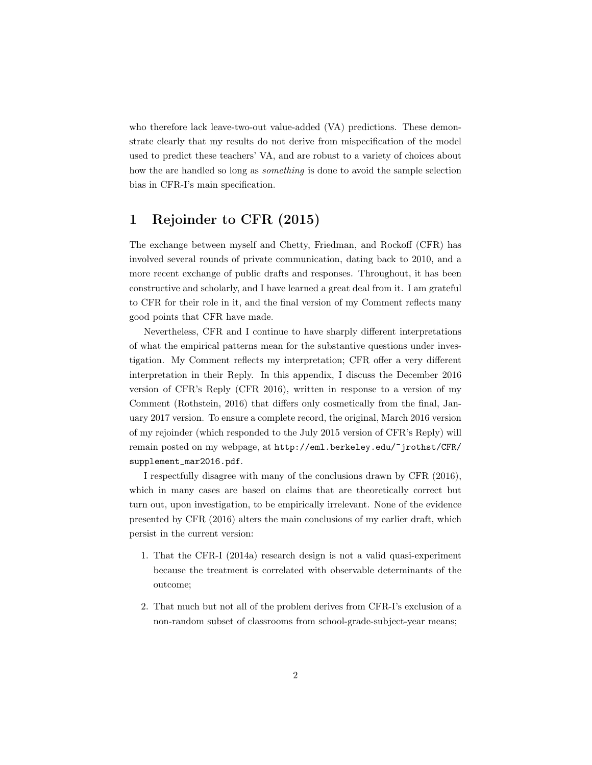who therefore lack leave-two-out value-added (VA) predictions. These demonstrate clearly that my results do not derive from mispecification of the model used to predict these teachers' VA, and are robust to a variety of choices about how the are handled so long as *something* is done to avoid the sample selection bias in CFR-I's main specification.

## 1 Rejoinder to CFR (2015)

The exchange between myself and Chetty, Friedman, and Rockoff (CFR) has involved several rounds of private communication, dating back to 2010, and a more recent exchange of public drafts and responses. Throughout, it has been constructive and scholarly, and I have learned a great deal from it. I am grateful to CFR for their role in it, and the final version of my Comment reflects many good points that CFR have made.

Nevertheless, CFR and I continue to have sharply different interpretations of what the empirical patterns mean for the substantive questions under investigation. My Comment reflects my interpretation; CFR offer a very different interpretation in their Reply. In this appendix, I discuss the December 2016 version of CFR's Reply (CFR 2016), written in response to a version of my Comment (Rothstein, 2016) that differs only cosmetically from the final, January 2017 version. To ensure a complete record, the original, March 2016 version of my rejoinder (which responded to the July 2015 version of CFR's Reply) will remain posted on my webpage, at http://eml.berkeley.edu/~jrothst/CFR/ supplement\_mar2016.pdf.

I respectfully disagree with many of the conclusions drawn by CFR (2016), which in many cases are based on claims that are theoretically correct but turn out, upon investigation, to be empirically irrelevant. None of the evidence presented by CFR (2016) alters the main conclusions of my earlier draft, which persist in the current version:

- 1. That the CFR-I (2014a) research design is not a valid quasi-experiment because the treatment is correlated with observable determinants of the outcome;
- 2. That much but not all of the problem derives from CFR-I's exclusion of a non-random subset of classrooms from school-grade-subject-year means;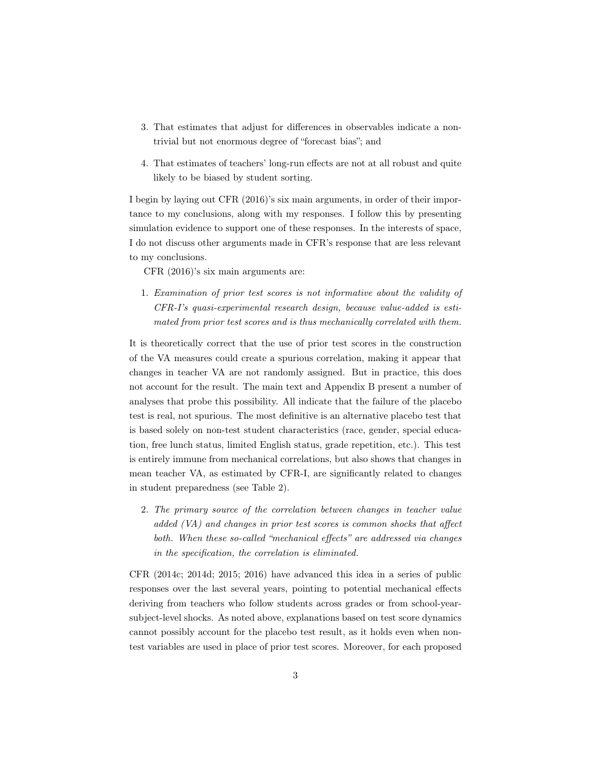- 3. That estimates that adjust for differences in observables indicate a nontrivial but not enormous degree of "forecast bias"; and
- 4. That estimates of teachers' long-run effects are not at all robust and quite likely to be biased by student sorting.

I begin by laying out CFR (2016)'s six main arguments, in order of their importance to my conclusions, along with my responses. I follow this by presenting simulation evidence to support one of these responses. In the interests of space, I do not discuss other arguments made in CFR's response that are less relevant to my conclusions.

CFR (2016)'s six main arguments are:

1. *Examination of prior test scores is not informative about the validity of CFR-I's quasi-experimental research design, because value-added is estimated from prior test scores and is thus mechanically correlated with them.*

It is theoretically correct that the use of prior test scores in the construction of the VA measures could create a spurious correlation, making it appear that changes in teacher VA are not randomly assigned. But in practice, this does not account for the result. The main text and Appendix B present a number of analyses that probe this possibility. All indicate that the failure of the placebo test is real, not spurious. The most definitive is an alternative placebo test that is based solely on non-test student characteristics (race, gender, special education, free lunch status, limited English status, grade repetition, etc.). This test is entirely immune from mechanical correlations, but also shows that changes in mean teacher VA, as estimated by CFR-I, are significantly related to changes in student preparedness (see Table 2).

2. *The primary source of the correlation between changes in teacher value added (VA) and changes in prior test scores is common shocks that a*ff*ect both. When these so-called "mechanical e*ff*ects" are addressed via changes in the specification, the correlation is eliminated.*

CFR (2014c; 2014d; 2015; 2016) have advanced this idea in a series of public responses over the last several years, pointing to potential mechanical effects deriving from teachers who follow students across grades or from school-yearsubject-level shocks. As noted above, explanations based on test score dynamics cannot possibly account for the placebo test result, as it holds even when nontest variables are used in place of prior test scores. Moreover, for each proposed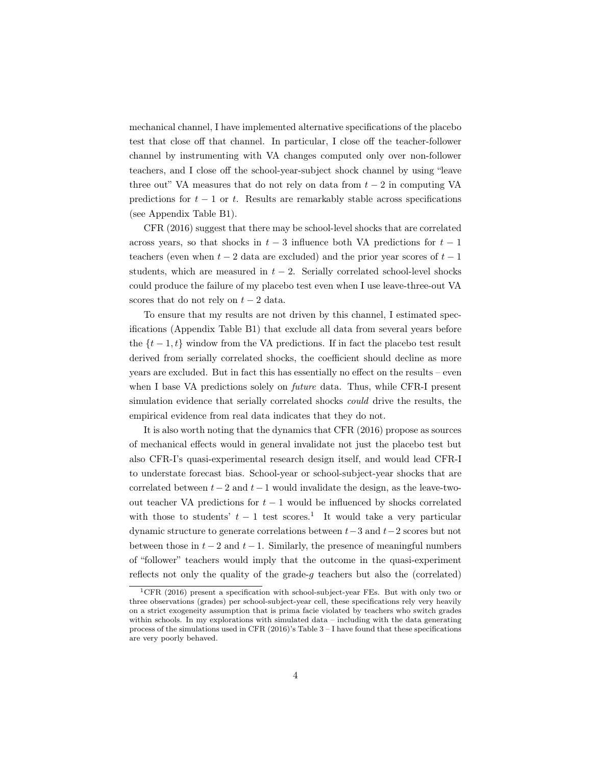mechanical channel, I have implemented alternative specifications of the placebo test that close off that channel. In particular, I close off the teacher-follower channel by instrumenting with VA changes computed only over non-follower teachers, and I close off the school-year-subject shock channel by using "leave three out" VA measures that do not rely on data from  $t - 2$  in computing VA predictions for  $t-1$  or  $t$ . Results are remarkably stable across specifications (see Appendix Table B1).

CFR (2016) suggest that there may be school-level shocks that are correlated across years, so that shocks in  $t-3$  influence both VA predictions for  $t-1$ teachers (even when  $t-2$  data are excluded) and the prior year scores of  $t-1$ students, which are measured in  $t - 2$ . Serially correlated school-level shocks could produce the failure of my placebo test even when I use leave-three-out VA scores that do not rely on  $t-2$  data.

To ensure that my results are not driven by this channel, I estimated specifications (Appendix Table B1) that exclude all data from several years before the  $\{t-1,t\}$  window from the VA predictions. If in fact the placebo test result derived from serially correlated shocks, the coefficient should decline as more years are excluded. But in fact this has essentially no effect on the results – even when I base VA predictions solely on *future* data. Thus, while CFR-I present simulation evidence that serially correlated shocks *could* drive the results, the empirical evidence from real data indicates that they do not.

It is also worth noting that the dynamics that CFR (2016) propose as sources of mechanical effects would in general invalidate not just the placebo test but also CFR-I's quasi-experimental research design itself, and would lead CFR-I to understate forecast bias. School-year or school-subject-year shocks that are correlated between  $t-2$  and  $t-1$  would invalidate the design, as the leave-twoout teacher VA predictions for  $t-1$  would be influenced by shocks correlated with those to students'  $t-1$  test scores.<sup>1</sup> It would take a very particular dynamic structure to generate correlations between  $t-3$  and  $t-2$  scores but not between those in  $t-2$  and  $t-1$ . Similarly, the presence of meaningful numbers of "follower" teachers would imply that the outcome in the quasi-experiment reflects not only the quality of the grade-*g* teachers but also the (correlated)

<sup>1</sup>CFR (2016) present a specification with school-subject-year FEs. But with only two or three observations (grades) per school-subject-year cell, these specifications rely very heavily on a strict exogeneity assumption that is prima facie violated by teachers who switch grades within schools. In my explorations with simulated data – including with the data generating process of the simulations used in CFR  $(2016)$ 's Table 3 – I have found that these specifications are very poorly behaved.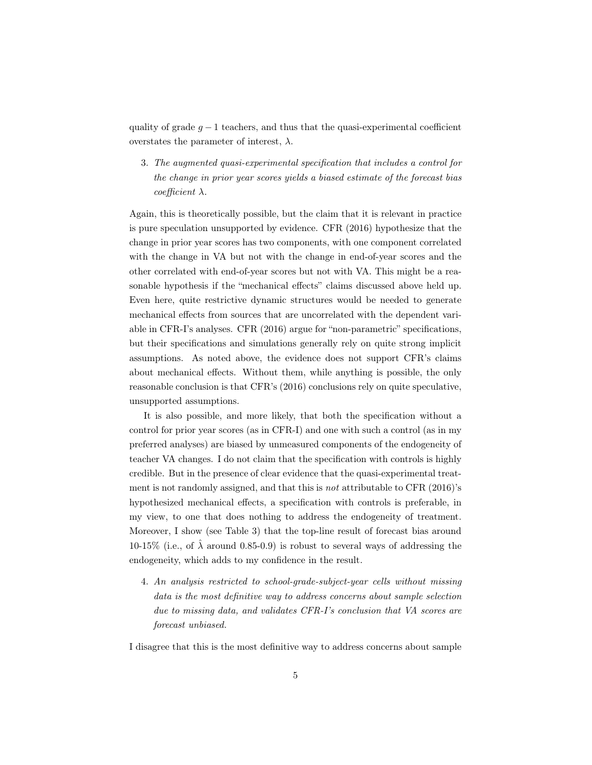quality of grade  $g-1$  teachers, and thus that the quasi-experimental coefficient overstates the parameter of interest,  $\lambda$ .

3. *The augmented quasi-experimental specification that includes a control for the change in prior year scores yields a biased estimate of the forecast bias coefficient*  $\lambda$ *.* 

Again, this is theoretically possible, but the claim that it is relevant in practice is pure speculation unsupported by evidence. CFR (2016) hypothesize that the change in prior year scores has two components, with one component correlated with the change in VA but not with the change in end-of-year scores and the other correlated with end-of-year scores but not with VA. This might be a reasonable hypothesis if the "mechanical effects" claims discussed above held up. Even here, quite restrictive dynamic structures would be needed to generate mechanical effects from sources that are uncorrelated with the dependent variable in CFR-I's analyses. CFR (2016) argue for "non-parametric" specifications, but their specifications and simulations generally rely on quite strong implicit assumptions. As noted above, the evidence does not support CFR's claims about mechanical effects. Without them, while anything is possible, the only reasonable conclusion is that CFR's (2016) conclusions rely on quite speculative, unsupported assumptions.

It is also possible, and more likely, that both the specification without a control for prior year scores (as in CFR-I) and one with such a control (as in my preferred analyses) are biased by unmeasured components of the endogeneity of teacher VA changes. I do not claim that the specification with controls is highly credible. But in the presence of clear evidence that the quasi-experimental treatment is not randomly assigned, and that this is *not* attributable to CFR (2016)'s hypothesized mechanical effects, a specification with controls is preferable, in my view, to one that does nothing to address the endogeneity of treatment. Moreover, I show (see Table 3) that the top-line result of forecast bias around 10-15% (i.e., of  $\lambda$  around 0.85-0.9) is robust to several ways of addressing the endogeneity, which adds to my confidence in the result.

4. *An analysis restricted to school-grade-subject-year cells without missing data is the most definitive way to address concerns about sample selection due to missing data, and validates CFR-I's conclusion that VA scores are forecast unbiased.*

I disagree that this is the most definitive way to address concerns about sample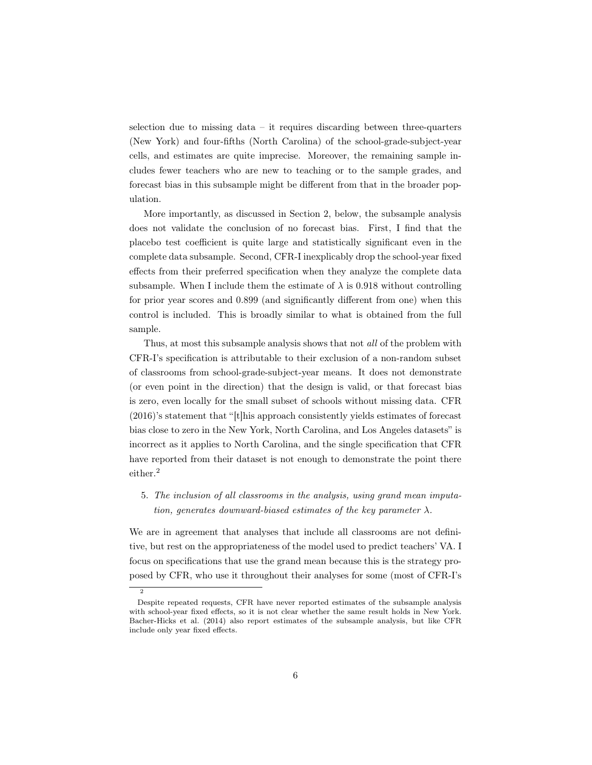selection due to missing data – it requires discarding between three-quarters (New York) and four-fifths (North Carolina) of the school-grade-subject-year cells, and estimates are quite imprecise. Moreover, the remaining sample includes fewer teachers who are new to teaching or to the sample grades, and forecast bias in this subsample might be different from that in the broader population.

More importantly, as discussed in Section 2, below, the subsample analysis does not validate the conclusion of no forecast bias. First, I find that the placebo test coefficient is quite large and statistically significant even in the complete data subsample. Second, CFR-I inexplicably drop the school-year fixed effects from their preferred specification when they analyze the complete data subsample. When I include them the estimate of  $\lambda$  is 0.918 without controlling for prior year scores and 0.899 (and significantly different from one) when this control is included. This is broadly similar to what is obtained from the full sample.

Thus, at most this subsample analysis shows that not *all* of the problem with CFR-I's specification is attributable to their exclusion of a non-random subset of classrooms from school-grade-subject-year means. It does not demonstrate (or even point in the direction) that the design is valid, or that forecast bias is zero, even locally for the small subset of schools without missing data. CFR (2016)'s statement that "[t]his approach consistently yields estimates of forecast bias close to zero in the New York, North Carolina, and Los Angeles datasets" is incorrect as it applies to North Carolina, and the single specification that CFR have reported from their dataset is not enough to demonstrate the point there either.<sup>2</sup>

5. *The inclusion of all classrooms in the analysis, using grand mean imputation, generates downward-biased estimates of the key parameter*  $\lambda$ .

We are in agreement that analyses that include all classrooms are not definitive, but rest on the appropriateness of the model used to predict teachers' VA. I focus on specifications that use the grand mean because this is the strategy proposed by CFR, who use it throughout their analyses for some (most of CFR-I's

2

Despite repeated requests, CFR have never reported estimates of the subsample analysis with school-year fixed effects, so it is not clear whether the same result holds in New York. Bacher-Hicks et al. (2014) also report estimates of the subsample analysis, but like CFR include only year fixed effects.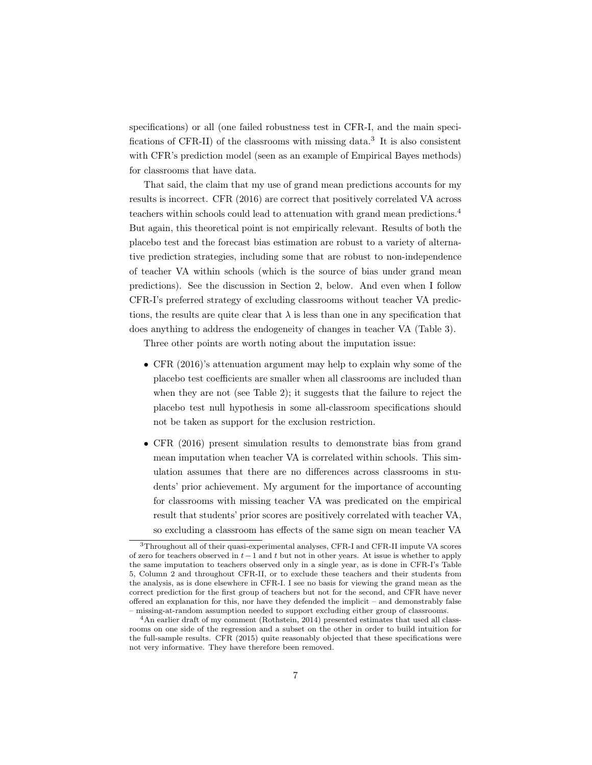specifications) or all (one failed robustness test in CFR-I, and the main specifications of CFR-II) of the classrooms with missing data.<sup>3</sup> It is also consistent with CFR's prediction model (seen as an example of Empirical Bayes methods) for classrooms that have data.

That said, the claim that my use of grand mean predictions accounts for my results is incorrect. CFR (2016) are correct that positively correlated VA across teachers within schools could lead to attenuation with grand mean predictions.<sup>4</sup> But again, this theoretical point is not empirically relevant. Results of both the placebo test and the forecast bias estimation are robust to a variety of alternative prediction strategies, including some that are robust to non-independence of teacher VA within schools (which is the source of bias under grand mean predictions). See the discussion in Section 2, below. And even when I follow CFR-I's preferred strategy of excluding classrooms without teacher VA predictions, the results are quite clear that  $\lambda$  is less than one in any specification that does anything to address the endogeneity of changes in teacher VA (Table 3).

Three other points are worth noting about the imputation issue:

- *•* CFR (2016)'s attenuation argument may help to explain why some of the placebo test coefficients are smaller when all classrooms are included than when they are not (see Table 2); it suggests that the failure to reject the placebo test null hypothesis in some all-classroom specifications should not be taken as support for the exclusion restriction.
- CFR (2016) present simulation results to demonstrate bias from grand mean imputation when teacher VA is correlated within schools. This simulation assumes that there are no differences across classrooms in students' prior achievement. My argument for the importance of accounting for classrooms with missing teacher VA was predicated on the empirical result that students' prior scores are positively correlated with teacher VA, so excluding a classroom has effects of the same sign on mean teacher VA

<sup>3</sup>Throughout all of their quasi-experimental analyses, CFR-I and CFR-II impute VA scores of zero for teachers observed in  $t-1$  and  $t$  but not in other years. At issue is whether to apply the same imputation to teachers observed only in a single year, as is done in CFR-I's Table 5, Column 2 and throughout CFR-II, or to exclude these teachers and their students from the analysis, as is done elsewhere in CFR-I. I see no basis for viewing the grand mean as the correct prediction for the first group of teachers but not for the second, and CFR have never offered an explanation for this, nor have they defended the implicit – and demonstrably false – missing-at-random assumption needed to support excluding either group of classrooms.

<sup>4</sup>An earlier draft of my comment (Rothstein, 2014) presented estimates that used all classrooms on one side of the regression and a subset on the other in order to build intuition for the full-sample results. CFR (2015) quite reasonably objected that these specifications were not very informative. They have therefore been removed.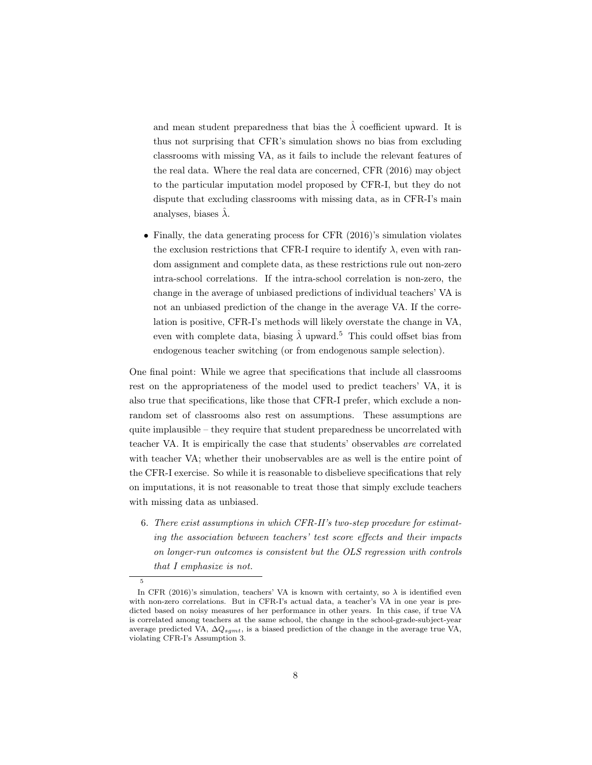and mean student preparedness that bias the  $\hat{\lambda}$  coefficient upward. It is thus not surprising that CFR's simulation shows no bias from excluding classrooms with missing VA, as it fails to include the relevant features of the real data. Where the real data are concerned, CFR (2016) may object to the particular imputation model proposed by CFR-I, but they do not dispute that excluding classrooms with missing data, as in CFR-I's main analyses, biases  $\hat{\lambda}$ .

• Finally, the data generating process for CFR (2016)'s simulation violates the exclusion restrictions that CFR-I require to identify  $\lambda$ , even with random assignment and complete data, as these restrictions rule out non-zero intra-school correlations. If the intra-school correlation is non-zero, the change in the average of unbiased predictions of individual teachers' VA is not an unbiased prediction of the change in the average VA. If the correlation is positive, CFR-I's methods will likely overstate the change in VA, even with complete data, biasing  $\hat{\lambda}$  upward.<sup>5</sup> This could offset bias from endogenous teacher switching (or from endogenous sample selection).

One final point: While we agree that specifications that include all classrooms rest on the appropriateness of the model used to predict teachers' VA, it is also true that specifications, like those that CFR-I prefer, which exclude a nonrandom set of classrooms also rest on assumptions. These assumptions are quite implausible – they require that student preparedness be uncorrelated with teacher VA. It is empirically the case that students' observables *are* correlated with teacher VA; whether their unobservables are as well is the entire point of the CFR-I exercise. So while it is reasonable to disbelieve specifications that rely on imputations, it is not reasonable to treat those that simply exclude teachers with missing data as unbiased.

6. *There exist assumptions in which CFR-II's two-step procedure for estimating the association between teachers' test score e*ff*ects and their impacts on longer-run outcomes is consistent but the OLS regression with controls that I emphasize is not.*

5

In CFR (2016)'s simulation, teachers' VA is known with certainty, so  $\lambda$  is identified even with non-zero correlations. But in CFR-I's actual data, a teacher's VA in one year is predicted based on noisy measures of her performance in other years. In this case, if true VA is correlated among teachers at the same school, the change in the school-grade-subject-year average predicted VA,  $\Delta Q_{sgmt}$ , is a biased prediction of the change in the average true VA, violating CFR-I's Assumption 3.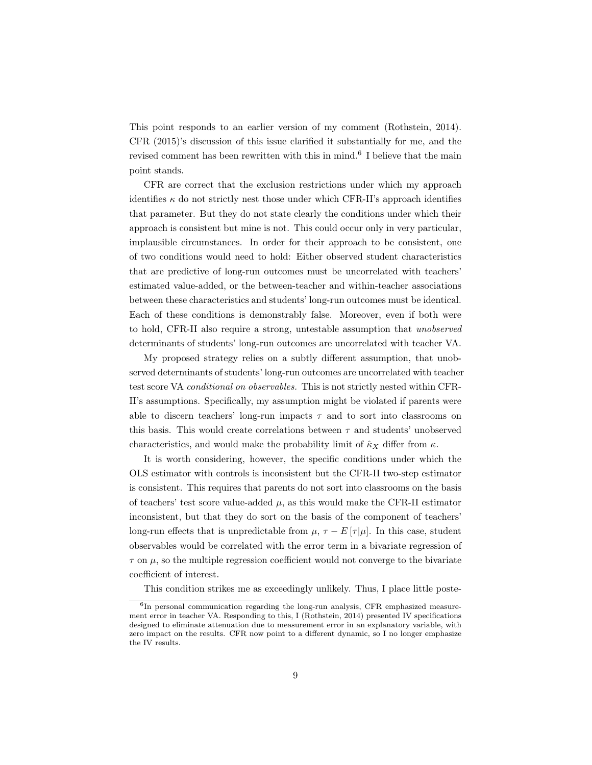This point responds to an earlier version of my comment (Rothstein, 2014). CFR (2015)'s discussion of this issue clarified it substantially for me, and the revised comment has been rewritten with this in mind.<sup>6</sup> I believe that the main point stands.

CFR are correct that the exclusion restrictions under which my approach identifies  $\kappa$  do not strictly nest those under which CFR-II's approach identifies that parameter. But they do not state clearly the conditions under which their approach is consistent but mine is not. This could occur only in very particular, implausible circumstances. In order for their approach to be consistent, one of two conditions would need to hold: Either observed student characteristics that are predictive of long-run outcomes must be uncorrelated with teachers' estimated value-added, or the between-teacher and within-teacher associations between these characteristics and students' long-run outcomes must be identical. Each of these conditions is demonstrably false. Moreover, even if both were to hold, CFR-II also require a strong, untestable assumption that *unobserved* determinants of students' long-run outcomes are uncorrelated with teacher VA.

My proposed strategy relies on a subtly different assumption, that unobserved determinants of students' long-run outcomes are uncorrelated with teacher test score VA *conditional on observables.* This is not strictly nested within CFR-II's assumptions. Specifically, my assumption might be violated if parents were able to discern teachers' long-run impacts  $\tau$  and to sort into classrooms on this basis. This would create correlations between  $\tau$  and students' unobserved characteristics, and would make the probability limit of  $\hat{\kappa}_X$  differ from  $\kappa$ .

It is worth considering, however, the specific conditions under which the OLS estimator with controls is inconsistent but the CFR-II two-step estimator is consistent. This requires that parents do not sort into classrooms on the basis of teachers' test score value-added  $\mu$ , as this would make the CFR-II estimator inconsistent, but that they do sort on the basis of the component of teachers' long-run effects that is unpredictable from  $\mu$ ,  $\tau - E[\tau|\mu]$ . In this case, student observables would be correlated with the error term in a bivariate regression of  $\tau$  on  $\mu$ , so the multiple regression coefficient would not converge to the bivariate coefficient of interest.

This condition strikes me as exceedingly unlikely. Thus, I place little poste-

 ${}^{6}{\rm In}$  personal communication regarding the long-run analysis, CFR emphasized measurement error in teacher VA. Responding to this, I (Rothstein, 2014) presented IV specifications designed to eliminate attenuation due to measurement error in an explanatory variable, with zero impact on the results. CFR now point to a different dynamic, so I no longer emphasize the IV results.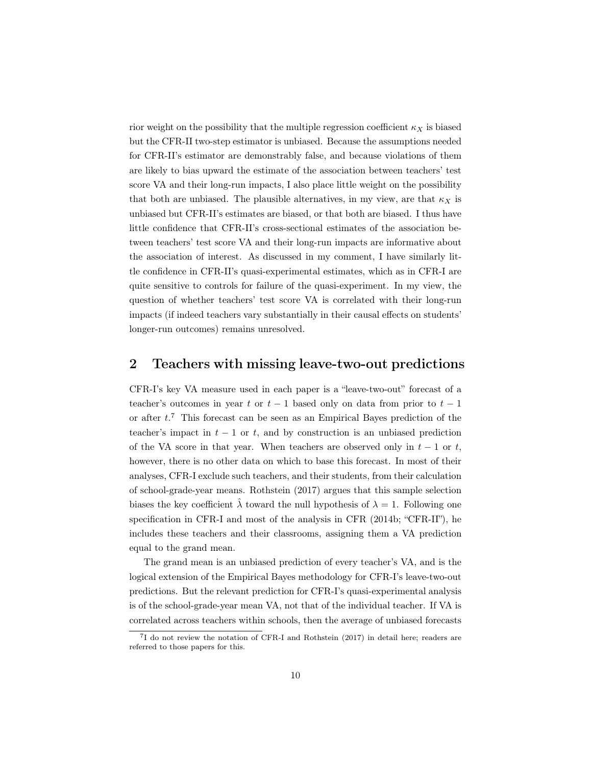rior weight on the possibility that the multiple regression coefficient  $\kappa_X$  is biased but the CFR-II two-step estimator is unbiased. Because the assumptions needed for CFR-II's estimator are demonstrably false, and because violations of them are likely to bias upward the estimate of the association between teachers' test score VA and their long-run impacts, I also place little weight on the possibility that both are unbiased. The plausible alternatives, in my view, are that  $\kappa_X$  is unbiased but CFR-II's estimates are biased, or that both are biased. I thus have little confidence that CFR-II's cross-sectional estimates of the association between teachers' test score VA and their long-run impacts are informative about the association of interest. As discussed in my comment, I have similarly little confidence in CFR-II's quasi-experimental estimates, which as in CFR-I are quite sensitive to controls for failure of the quasi-experiment. In my view, the question of whether teachers' test score VA is correlated with their long-run impacts (if indeed teachers vary substantially in their causal effects on students' longer-run outcomes) remains unresolved.

#### 2 Teachers with missing leave-two-out predictions

CFR-I's key VA measure used in each paper is a "leave-two-out" forecast of a teacher's outcomes in year  $t$  or  $t-1$  based only on data from prior to  $t-1$ or after *t*. <sup>7</sup> This forecast can be seen as an Empirical Bayes prediction of the teacher's impact in  $t-1$  or  $t$ , and by construction is an unbiased prediction of the VA score in that year. When teachers are observed only in  $t-1$  or  $t$ , however, there is no other data on which to base this forecast. In most of their analyses, CFR-I exclude such teachers, and their students, from their calculation of school-grade-year means. Rothstein (2017) argues that this sample selection biases the key coefficient  $\lambda$  toward the null hypothesis of  $\lambda = 1$ . Following one specification in CFR-I and most of the analysis in CFR (2014b; "CFR-II"), he includes these teachers and their classrooms, assigning them a VA prediction equal to the grand mean.

The grand mean is an unbiased prediction of every teacher's VA, and is the logical extension of the Empirical Bayes methodology for CFR-I's leave-two-out predictions. But the relevant prediction for CFR-I's quasi-experimental analysis is of the school-grade-year mean VA, not that of the individual teacher. If VA is correlated across teachers within schools, then the average of unbiased forecasts

<sup>7</sup>I do not review the notation of CFR-I and Rothstein (2017) in detail here; readers are referred to those papers for this.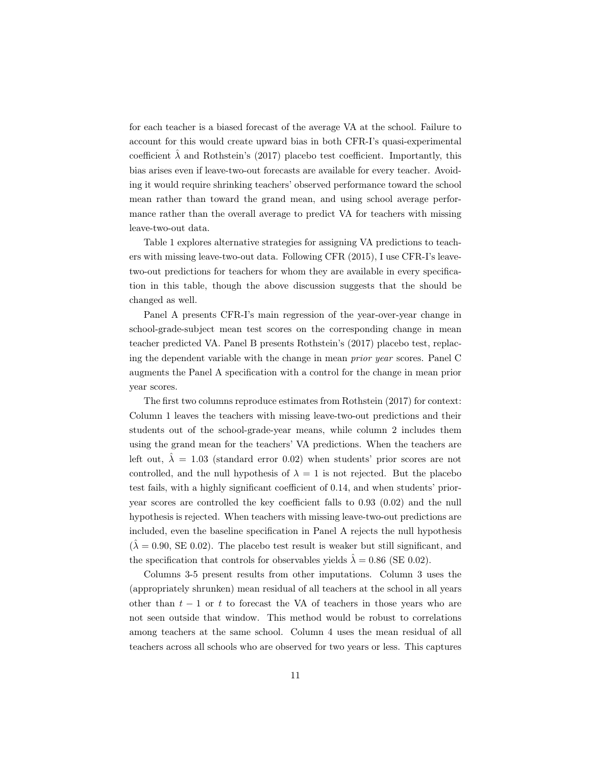for each teacher is a biased forecast of the average VA at the school. Failure to account for this would create upward bias in both CFR-I's quasi-experimental coefficient  $\hat{\lambda}$  and Rothstein's (2017) placebo test coefficient. Importantly, this bias arises even if leave-two-out forecasts are available for every teacher. Avoiding it would require shrinking teachers' observed performance toward the school mean rather than toward the grand mean, and using school average performance rather than the overall average to predict VA for teachers with missing leave-two-out data.

Table 1 explores alternative strategies for assigning VA predictions to teachers with missing leave-two-out data. Following CFR (2015), I use CFR-I's leavetwo-out predictions for teachers for whom they are available in every specification in this table, though the above discussion suggests that the should be changed as well.

Panel A presents CFR-I's main regression of the year-over-year change in school-grade-subject mean test scores on the corresponding change in mean teacher predicted VA. Panel B presents Rothstein's (2017) placebo test, replacing the dependent variable with the change in mean *prior year* scores. Panel C augments the Panel A specification with a control for the change in mean prior year scores.

The first two columns reproduce estimates from Rothstein (2017) for context: Column 1 leaves the teachers with missing leave-two-out predictions and their students out of the school-grade-year means, while column 2 includes them using the grand mean for the teachers' VA predictions. When the teachers are left out,  $\lambda = 1.03$  (standard error 0.02) when students' prior scores are not controlled, and the null hypothesis of  $\lambda = 1$  is not rejected. But the placebo test fails, with a highly significant coefficient of 0.14, and when students' prioryear scores are controlled the key coefficient falls to 0.93 (0.02) and the null hypothesis is rejected. When teachers with missing leave-two-out predictions are included, even the baseline specification in Panel A rejects the null hypothesis  $(\lambda = 0.90, \text{ SE } 0.02)$ . The placebo test result is weaker but still significant, and the specification that controls for observables yields  $\hat{\lambda} = 0.86$  (SE 0.02).

Columns 3-5 present results from other imputations. Column 3 uses the (appropriately shrunken) mean residual of all teachers at the school in all years other than  $t-1$  or  $t$  to forecast the VA of teachers in those years who are not seen outside that window. This method would be robust to correlations among teachers at the same school. Column 4 uses the mean residual of all teachers across all schools who are observed for two years or less. This captures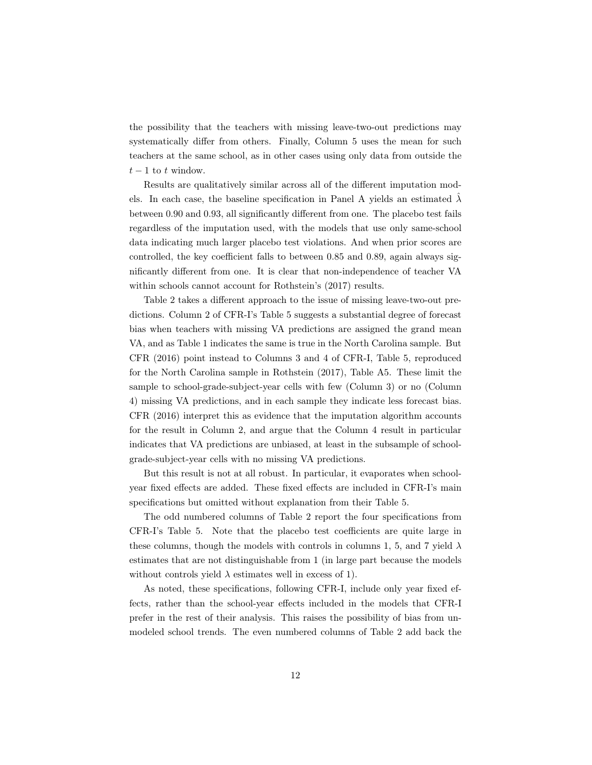the possibility that the teachers with missing leave-two-out predictions may systematically differ from others. Finally, Column 5 uses the mean for such teachers at the same school, as in other cases using only data from outside the  $t-1$  to  $t$  window.

Results are qualitatively similar across all of the different imputation models. In each case, the baseline specification in Panel A yields an estimated  $\lambda$ between 0.90 and 0.93, all significantly different from one. The placebo test fails regardless of the imputation used, with the models that use only same-school data indicating much larger placebo test violations. And when prior scores are controlled, the key coefficient falls to between 0.85 and 0.89, again always significantly different from one. It is clear that non-independence of teacher VA within schools cannot account for Rothstein's (2017) results.

Table 2 takes a different approach to the issue of missing leave-two-out predictions. Column 2 of CFR-I's Table 5 suggests a substantial degree of forecast bias when teachers with missing VA predictions are assigned the grand mean VA, and as Table 1 indicates the same is true in the North Carolina sample. But CFR (2016) point instead to Columns 3 and 4 of CFR-I, Table 5, reproduced for the North Carolina sample in Rothstein (2017), Table A5. These limit the sample to school-grade-subject-year cells with few (Column 3) or no (Column 4) missing VA predictions, and in each sample they indicate less forecast bias. CFR (2016) interpret this as evidence that the imputation algorithm accounts for the result in Column 2, and argue that the Column 4 result in particular indicates that VA predictions are unbiased, at least in the subsample of schoolgrade-subject-year cells with no missing VA predictions.

But this result is not at all robust. In particular, it evaporates when schoolyear fixed effects are added. These fixed effects are included in CFR-I's main specifications but omitted without explanation from their Table 5.

The odd numbered columns of Table 2 report the four specifications from CFR-I's Table 5. Note that the placebo test coefficients are quite large in these columns, though the models with controls in columns 1, 5, and 7 yield  $\lambda$ estimates that are not distinguishable from 1 (in large part because the models without controls yield  $\lambda$  estimates well in excess of 1).

As noted, these specifications, following CFR-I, include only year fixed effects, rather than the school-year effects included in the models that CFR-I prefer in the rest of their analysis. This raises the possibility of bias from unmodeled school trends. The even numbered columns of Table 2 add back the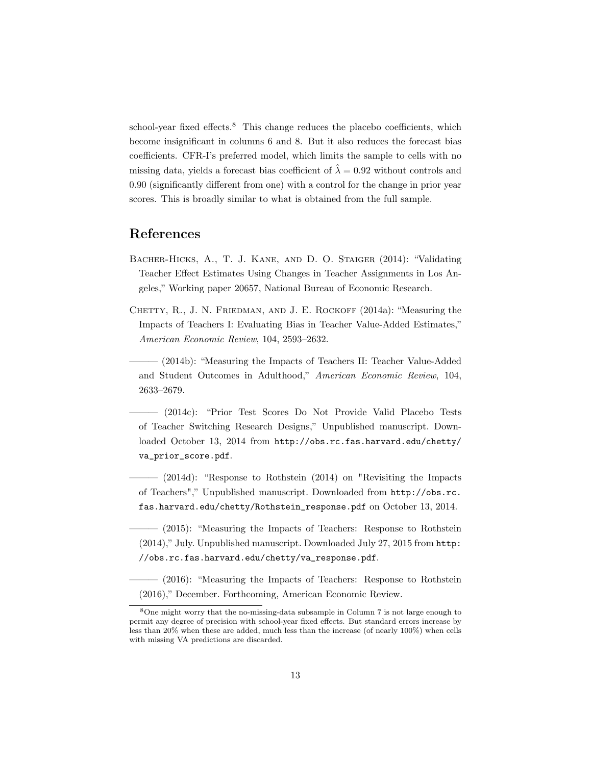school-year fixed effects.<sup>8</sup> This change reduces the placebo coefficients, which become insignificant in columns 6 and 8. But it also reduces the forecast bias coefficients. CFR-I's preferred model, which limits the sample to cells with no missing data, yields a forecast bias coefficient of  $\hat{\lambda} = 0.92$  without controls and 0*.*90 (significantly different from one) with a control for the change in prior year scores. This is broadly similar to what is obtained from the full sample.

### References

- Bacher-Hicks, A., T. J. Kane, and D. O. Staiger (2014): "Validating Teacher Effect Estimates Using Changes in Teacher Assignments in Los Angeles," Working paper 20657, National Bureau of Economic Research.
- Chetty, R., J. N. Friedman, and J. E. Rockoff (2014a): "Measuring the Impacts of Teachers I: Evaluating Bias in Teacher Value-Added Estimates," *American Economic Review*, 104, 2593–2632.

(2014b): "Measuring the Impacts of Teachers II: Teacher Value-Added and Student Outcomes in Adulthood," *American Economic Review*, 104, 2633–2679.

——— (2014c): "Prior Test Scores Do Not Provide Valid Placebo Tests of Teacher Switching Research Designs," Unpublished manuscript. Downloaded October 13, 2014 from http://obs.rc.fas.harvard.edu/chetty/ va\_prior\_score.pdf.

 $(2014d)$ : "Response to Rothstein  $(2014)$  on "Revisiting the Impacts of Teachers"," Unpublished manuscript. Downloaded from http://obs.rc. fas.harvard.edu/chetty/Rothstein\_response.pdf on October 13, 2014.

 $(2015)$ : "Measuring the Impacts of Teachers: Response to Rothstein (2014)," July. Unpublished manuscript. Downloaded July 27, 2015 from http: //obs.rc.fas.harvard.edu/chetty/va\_response.pdf.

 $(2016)$ : "Measuring the Impacts of Teachers: Response to Rothstein (2016)," December. Forthcoming, American Economic Review.

<sup>8</sup>One might worry that the no-missing-data subsample in Column 7 is not large enough to permit any degree of precision with school-year fixed effects. But standard errors increase by less than 20% when these are added, much less than the increase (of nearly 100%) when cells with missing VA predictions are discarded.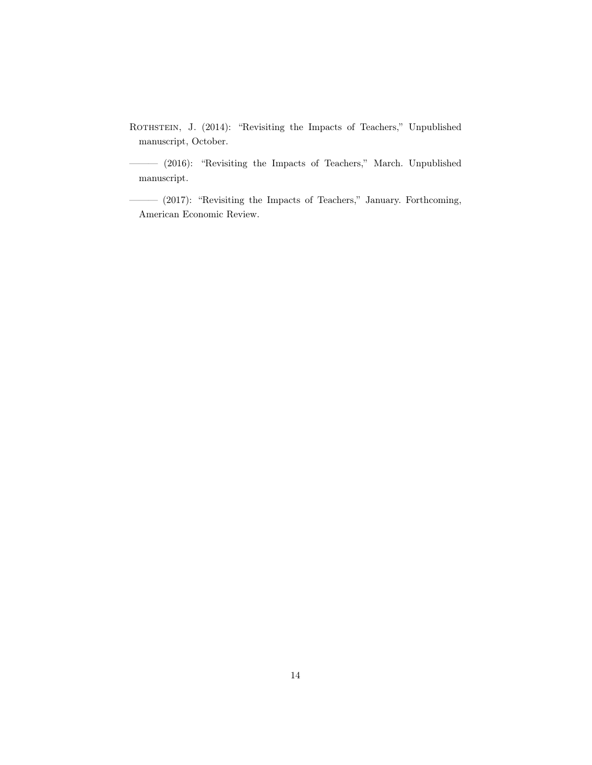ROTHSTEIN, J. (2014): "Revisiting the Impacts of Teachers," Unpublished manuscript, October.

——— (2016): "Revisiting the Impacts of Teachers," March. Unpublished manuscript.

——— (2017): "Revisiting the Impacts of Teachers," January. Forthcoming, American Economic Review.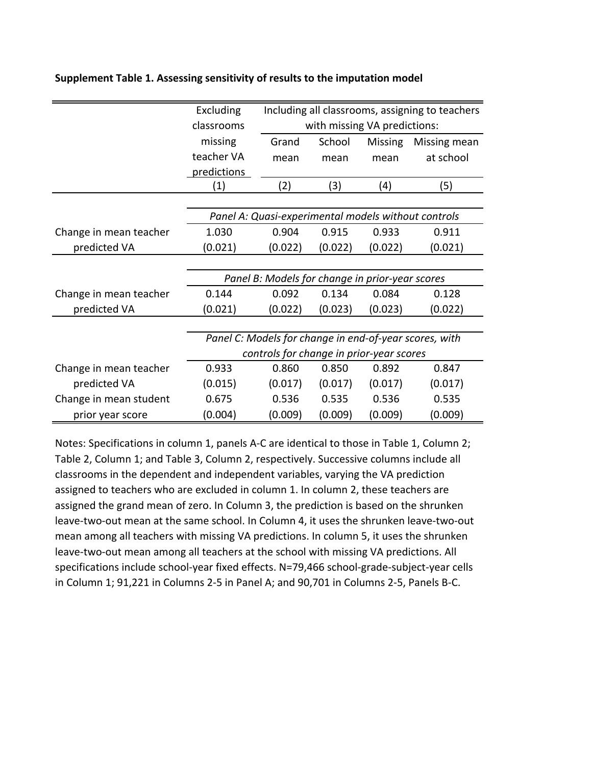|                        | Excluding                                              | Including all classrooms, assigning to teachers |         |                |              |  |  |  |  |
|------------------------|--------------------------------------------------------|-------------------------------------------------|---------|----------------|--------------|--|--|--|--|
|                        | classrooms                                             | with missing VA predictions:                    |         |                |              |  |  |  |  |
|                        | missing                                                | Grand                                           | School  | <b>Missing</b> | Missing mean |  |  |  |  |
|                        | teacher VA                                             | mean                                            | mean    | mean           | at school    |  |  |  |  |
|                        | predictions                                            |                                                 |         |                |              |  |  |  |  |
|                        | (1)                                                    | (2)                                             | (3)     | (4)            | (5)          |  |  |  |  |
|                        |                                                        |                                                 |         |                |              |  |  |  |  |
|                        | Panel A: Quasi-experimental models without controls    |                                                 |         |                |              |  |  |  |  |
| Change in mean teacher | 1.030                                                  | 0.904<br>0.915                                  |         | 0.933          | 0.911        |  |  |  |  |
| predicted VA           | (0.021)                                                | (0.022)                                         | (0.022) | (0.022)        | (0.021)      |  |  |  |  |
|                        |                                                        |                                                 |         |                |              |  |  |  |  |
|                        | Panel B: Models for change in prior-year scores        |                                                 |         |                |              |  |  |  |  |
| Change in mean teacher | 0.144                                                  | 0.092                                           | 0.134   | 0.084          | 0.128        |  |  |  |  |
| predicted VA           | (0.021)                                                | (0.022)                                         | (0.023) | (0.023)        | (0.022)      |  |  |  |  |
|                        |                                                        |                                                 |         |                |              |  |  |  |  |
|                        | Panel C: Models for change in end-of-year scores, with |                                                 |         |                |              |  |  |  |  |
|                        | controls for change in prior-year scores               |                                                 |         |                |              |  |  |  |  |
| Change in mean teacher | 0.933                                                  | 0.860                                           | 0.850   | 0.892          | 0.847        |  |  |  |  |
| predicted VA           | (0.015)                                                | (0.017)                                         | (0.017) | (0.017)        | (0.017)      |  |  |  |  |
| Change in mean student | 0.675                                                  | 0.536                                           | 0.535   | 0.536          | 0.535        |  |  |  |  |
| prior year score       | (0.004)                                                | (0.009)                                         | (0.009) | (0.009)        | (0.009)      |  |  |  |  |

#### **Supplement Table 1. Assessing sensitivity of results to the imputation model**

Notes: Specifications in column 1, panels A-C are identical to those in Table 1, Column 2; Table 2, Column 1; and Table 3, Column 2, respectively. Successive columns include all classrooms in the dependent and independent variables, varying the VA prediction assigned to teachers who are excluded in column 1. In column 2, these teachers are assigned the grand mean of zero. In Column 3, the prediction is based on the shrunken leave-two-out mean at the same school. In Column 4, it uses the shrunken leave-two-out mean among all teachers with missing VA predictions. In column 5, it uses the shrunken leave-two-out mean among all teachers at the school with missing VA predictions. All specifications include school-year fixed effects. N=79,466 school-grade-subject-year cells in Column 1; 91,221 in Columns 2-5 in Panel A; and 90,701 in Columns 2-5, Panels B-C.